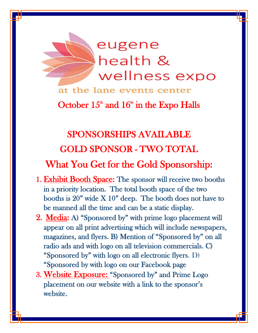

at the lane events center

October  $15<sup>th</sup>$  and  $16<sup>th</sup>$  in the Expo Halls

# SPONSORSHIPS AVAILABLE GOLD SPONSOR - TWO TOTAL

## What You Get for the Gold Sponsorship:

- 1. Exhibit Booth Space: The sponsor will receive two booths in a priority location. The total booth space of the two booths is  $20"$  wide  $X 10"$  deep. The booth does not have to be manned all the time and can be a static display.
- 2. Media: A) "Sponsored by" with prime logo placement will appear on all print advertising which will include newspapers, magazines, and flyers. B) Mention of "Sponsored by" on all radio ads and with logo on all television commercials. C) "Sponsored by" with logo on all electronic flyers. D) "Sponsored by with logo on our Facebook page
- 3. Website Exposure: "Sponsored by" and Prime Logo placement on our website with a link to the sponsor's website.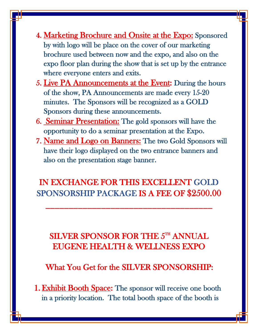- 4. Marketing Brochure and Onsite at the Expo: Sponsored by with logo will be place on the cover of our marketing brochure used between now and the expo, and also on the expo floor plan during the show that is set up by the entrance where everyone enters and exits.
- 5. Live PA Announcements at the Event: During the hours of the show, PA Announcements are made every 15-20 minutes. The Sponsors will be recognized as a GOLD Sponsors during these announcements.
- 6. Seminar Presentation: The gold sponsors will have the opportunity to do a seminar presentation at the Expo.
- 7. Name and Logo on Banners: The two Gold Sponsors will have their logo displayed on the two entrance banners and also on the presentation stage banner.

IN EXCHANGE FOR THIS EXCELLENT GOLD SPONSORSHIP PACKAGE IS A FEE OF \$2500.00

\_\_\_\_\_\_\_\_\_\_\_\_\_\_\_\_\_\_\_\_\_\_\_\_\_\_\_\_\_\_\_\_\_\_\_\_

### SILVER SPONSOR FOR THE  $5^{\text{th}}$  ANNUAL EUGENE HEALTH & WELLNESS EXPO

What You Get for the SILVER SPONSORSHIP:

1. Exhibit Booth Space: The sponsor will receive one booth in a priority location. The total booth space of the booth is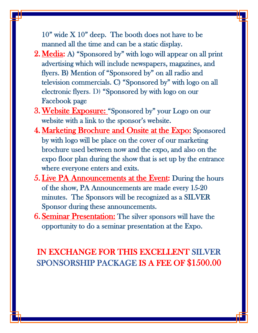10" wide X 10" deep. The booth does not have to be manned all the time and can be a static display.

- 2. Media: A) "Sponsored by" with logo will appear on all print advertising which will include newspapers, magazines, and flyers. B) Mention of "Sponsored by" on all radio and television commercials. C) "Sponsored by" with logo on all electronic flyers. D) "Sponsored by with logo on our Facebook page
- 3.Website Exposure: "Sponsored by" your Logo on our website with a link to the sponsor's website.
- 4. Marketing Brochure and Onsite at the Expo: Sponsored by with logo will be place on the cover of our marketing brochure used between now and the expo, and also on the expo floor plan during the show that is set up by the entrance where everyone enters and exits.
- 5. Live PA Announcements at the Event: During the hours of the show, PA Announcements are made every 15-20 minutes. The Sponsors will be recognized as a SILVER Sponsor during these announcements.
- 6. Seminar Presentation: The silver sponsors will have the opportunity to do a seminar presentation at the Expo.

### IN EXCHANGE FOR THIS EXCELLENT SILVER SPONSORSHIP PACKAGE IS A FEE OF \$1500.00